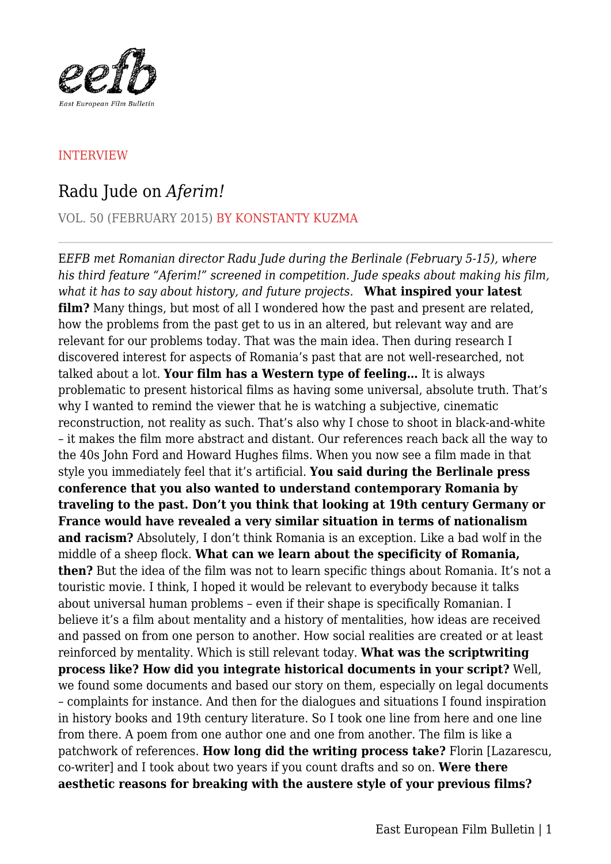

## INTERVIEW

## Radu Jude on *Aferim!*

VOL. 50 (FEBRUARY 2015) BY KONSTANTY KUZMA

E*EFB met Romanian director Radu Jude during the Berlinale (February 5-15), where his third feature "Aferim!" screened in competition. Jude speaks about making his film, what it has to say about history, and future projects.* **What inspired your latest film?** Many things, but most of all I wondered how the past and present are related, how the problems from the past get to us in an altered, but relevant way and are relevant for our problems today. That was the main idea. Then during research I discovered interest for aspects of Romania's past that are not well-researched, not talked about a lot. **Your film has a Western type of feeling…** It is always problematic to present historical films as having some universal, absolute truth. That's why I wanted to remind the viewer that he is watching a subjective, cinematic reconstruction, not reality as such. That's also why I chose to shoot in black-and-white – it makes the film more abstract and distant. Our references reach back all the way to the 40s John Ford and Howard Hughes films. When you now see a film made in that style you immediately feel that it's artificial. **You said during the Berlinale press conference that you also wanted to understand contemporary Romania by traveling to the past. Don't you think that looking at 19th century Germany or France would have revealed a very similar situation in terms of nationalism and racism?** Absolutely, I don't think Romania is an exception. Like a bad wolf in the middle of a sheep flock. **What can we learn about the specificity of Romania, then?** But the idea of the film was not to learn specific things about Romania. It's not a touristic movie. I think, I hoped it would be relevant to everybody because it talks about universal human problems – even if their shape is specifically Romanian. I believe it's a film about mentality and a history of mentalities, how ideas are received and passed on from one person to another. How social realities are created or at least reinforced by mentality. Which is still relevant today. **What was the scriptwriting process like? How did you integrate historical documents in your script?** Well, we found some documents and based our story on them, especially on legal documents – complaints for instance. And then for the dialogues and situations I found inspiration in history books and 19th century literature. So I took one line from here and one line from there. A poem from one author one and one from another. The film is like a patchwork of references. **How long did the writing process take?** Florin [Lazarescu, co-writer] and I took about two years if you count drafts and so on. **Were there aesthetic reasons for breaking with the austere style of your previous films?**